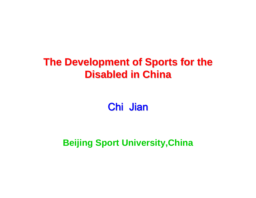# **The Development of Sports for the Disabled in China Disabled in China**

Chi Jian

**Beijing Sport University,China**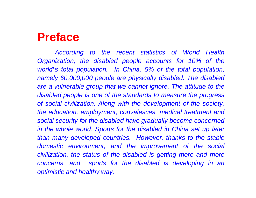# **Preface**

*According to the recent statistics of World Health Organization, the disabled people accounts for 10% of the world*'*s total population. In China, 5% of the total population, namely 60,000,000 people are physically disabled. The disabled*  are a vulnerable group that we cannot ignore. The attitude to the *disabled people is one of the standards to measure the progress of social civilization. Along with the development of the society, the education, employment, convalesces, medical treatment and social security for the disabled have gradually become concerned* in the whole world. Sports for the disabled in China set up later *than many developed countries. However, thanks to the stable domestic environment, and the improvement of the social civilization, the status of the disabled is getting more and more concerns, and sports for the disabled is developing in an optimistic and healthy way.*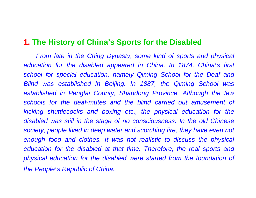### **1. The History of China's Sports for the Disabled**

*From late in the Ching Dynasty, some kind of sports and physical education for the disabled appeared in China. In 1874, China*'*s first school for special education, namely Qiming School for the Deaf and Blind was established in Beijing. In 1887, the Qiming School was established in Penglai County, Shandong Province. Although the few schools for the deaf-mutes and the blind carried out amusement of kicking shuttlecocks and boxing etc., the physical education for the disabled was still in the stage of no consciousness. In the old Chinese society, people lived in deep water and scorching fire, they have even not enough food and clothes. It was not realistic to discuss the physical education for the disabled at that time. Therefore, the real sports and physical education for the disabled were started from the foundation of the People*'*s Republic of China.*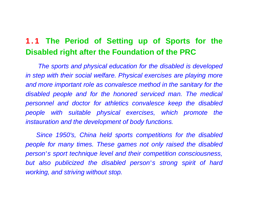### **1.1 The Period of Setting up of Sports for the Disabled right after the Foundation of the PRC**

*The sports and physical education for the disabled is developed in step with their social welfare. Physical exercises are playing more and more important role as convalesce method in the sanitary for the disabled people and for the honored serviced man. The medical personnel and doctor for athletics convalesce keep the disabled people with suitable physical exercises, which promote the instauration and the development of body functions.*

*Since 1950's, China held sports competitions for the disabled people for many times. These games not only raised the disabled person*'*s sport technique level and their competition consciousness, but also publicized the disabled person*'*s strong spirit of hard working, and striving without stop.*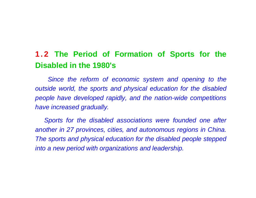## **1.2 The Period of Formation of Sports for the Disabled in the 1980's**

Since the reform of economic system and opening to the *outside world, the sports and physical education for the disabled people have developed rapidly, and the nation-wide competitions have increased gradually.* 

*Sports for the disabled associations were founded one after another in 27 provinces, cities, and autonomous regions in China. The sports and physical education for the disabled people stepped into a new period with organizations and leadership.*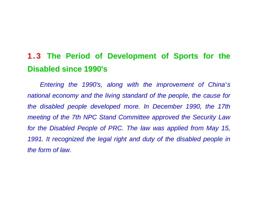## **1.3 The Period of Development of Sports for the Disabled since 1990's**

*Entering the 1990's, along with the improvement of China*'*<sup>s</sup> national economy and the living standard of the people, the cause for the disabled people developed more. In December 1990, the 17th meeting of the 7th NPC Stand Committee approved the Security Law for the Disabled People of PRC. The law was applied from May 15,* 1991. It recognized the legal right and duty of the disabled people in *the form of law.*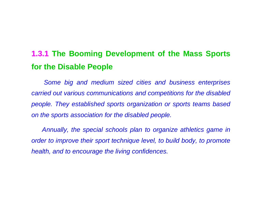## **1.3.1 The Booming Development of the Mass Sports for the Disable People**

*Some big and medium sized cities and business enterprises carried out various communications and competitions for the disabled people. They established sports organization or sports teams based on the sports association for the disabled people.*

*Annually, the special schools plan to organize athletics game in <u>order to improve their sport technique level, to build body, to promote </u> health, and to encourage the living confidences.*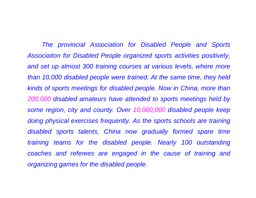*The provincial Association for Disabled People and Sports Association for Disabled People organized sports activities positively,*  and set up almost 300 training courses at various levels, where more *than 10,000 disabled people were trained. At the same time, they held kinds of sports meetings for disabled people. Now in China, more than 200,000 disabled amateurs have attended to sports meetings held by some region, city and county. Over 10,000,000 disabled people keep doing physical exercises frequently. As the sports schools are training disabled sports talents, China now gradually formed spare time training teams for the disabled people. Nearly 100 outstanding coaches and referees are engaged in the cause of training and organizing games for the disabled people.*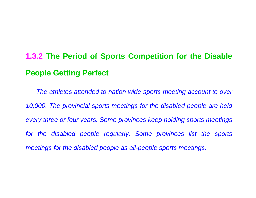# **1.3.2 The Period of Sports Competition for the Disable People Getting Perfect**

*The athletes attended to nation wide sports meeting account to over 10,000. The provincial sports meetings for the disabled people are held every three or four years. Some provinces keep holding sports meetings*  for the disabled people regularly. Some provinces list the sports *meetings for the disabled people as all-people sports meetings.*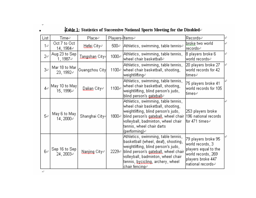#### $\blacksquare$

### $\frac{1}{2}$ Tab<u>le 1</u>: Statistics of Successive National Sports Meeting for the Disabled $\leftrightarrow$

| List      | Time∉                        | Place∉                | Plaγers4ltems∉ |                                                                                                                                                                                                                                                                    | Recordse                                                                                                                         | ₽ |
|-----------|------------------------------|-----------------------|----------------|--------------------------------------------------------------------------------------------------------------------------------------------------------------------------------------------------------------------------------------------------------------------|----------------------------------------------------------------------------------------------------------------------------------|---|
| 1€        | Oct 7 to Oct<br>14, 1984∉    | Hefei Citye           | 500₽           | Athletics, swimming, table tennis₽                                                                                                                                                                                                                                 | <u>broke</u> two world<br>records⊬                                                                                               |   |
| 2₽        | Aug 23 to Sep<br>1, 1987∉    | Tangshan City√        | 1000₽          | Athletics, swimming, table tennis,<br> wheel chair basketball∉                                                                                                                                                                                                     | 8 players broke 6 <br>lworld records <i>+</i> †                                                                                  | ↵ |
| 3₽        | Mar 18 to Mar  <br>23, 1992∉ | Guangzhou City        |                | Athletics, swimming, table tennis,<br>1100₽ wheel chair basketball, shooting,<br>lweightlifting∉                                                                                                                                                                   | 20 players broke 27<br>world records for 42<br>ltimes∉                                                                           | ₽ |
| $4 \cdot$ | May 10 to May <br>15, 1996∉  | <u>Dalian</u> Citye i | 1100₽          | Athletics, swimming, table tennis,<br>wheel chair basketball, shooting,<br>weightlifting, blind person's judo,<br>blind person's gateball+                                                                                                                         | 75 players broke 41<br>world records for 105<br>ltimes∉                                                                          |   |
| 5€        | May 6 to May<br>14,2000∉     | Shanghai Citγ∔        | 1800₽          | Athletics, swimming, table tennis,<br>wheel chair basketball, shooting,<br>weightlifting, blind person's judo,<br>blind person's gateball, wheel chair (196 national records)<br> volleyball, badminton, wheel chair<br>tennis, wheel chair darts<br>(performing)√ | 253 players broke.<br> for 471 times∉                                                                                            |   |
| 6₽        | Sep 16 to Sep<br>24, 2003∉   | Nanjing Citye         | 2229₽          | Athletics, swimming, table tennis,<br>basketball (wheel, deaf), shooting,<br>weightlifting, blind person's judo,<br>blind person's gateball, wheel chair<br> volleyball, badminton, wheel chair<br> tennis, <u>bχcicling</u> , archerγ, wheel <br> chair fencing∉  | 79 players broke 95<br>world records, 3<br>players equal to the<br>world records, 269<br>players broke 447<br> national records↩ |   |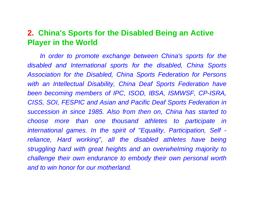### **2. China's Sports for the Disabled Being an Active Player in the World**

In order to promote exchange between China's sports for the *disabled and International sports for the disabled, China Sports Association for the Disabled, China Sports Federation for Persons with an Intellectual Disability, China Deaf Sports Federation have been becoming members of IPC, ISOD, IBSA, ISMWSF, CP-ISRA, CISS, SOI, FESPIC and Asian and Pacific Deaf Sports Federation in succession in since 1985. Also from then on, China has started to choose more than one thousand athletes to participate in international games. In the spirit of "Equality, Participation, Self reliance, Hard working", all the disabled athletes have being struggling hard with great heights and an overwhelming majority to challenge their own endurance to embody their own personal worth and to win honor for our motherland.*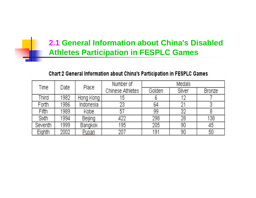### **2.1 General Information about China's Disabled Athletes Participation in FESPLC Games**

### Chart 2 General Information about China's Participation in FESPLC Games

| Time.   | Date | Place     | Number of               | <b>Medals</b> |        |               |
|---------|------|-----------|-------------------------|---------------|--------|---------------|
|         |      |           | <b>Chinese Athletes</b> | Golden        | Silver | <b>Bronze</b> |
| Third   | 1982 | Hong Kong | .5                      | b             | $12\,$ |               |
| Forth   | 1986 | Indonesia | 23                      | 64            | 21     |               |
| Fifth   | 1989 | Kobe      | 57                      | 99            | 32     |               |
| Sixth   | 1994 | Beijing   | 422                     | 298           | 28     | 138           |
| Seventh | 1999 | Bangkok   | 195                     | 205           | 90     | 45            |
| Eighth  | 2002 | Pusan     | 207                     | 191           | 90     | 50            |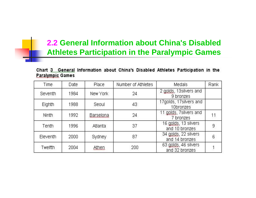### **2.2 General Information about China's Disabled Athletes Participation in the Paralympic Games**

#### Chart 3. General Information about China's Disabled Athletes Participation in the **Paralympic Games**

| Time     | Date | Place     | Number of Athletes | Medals                                 | Rank |
|----------|------|-----------|--------------------|----------------------------------------|------|
| Seventh  | 1984 | New York  | 24                 | 2 golds, 13 silvers and<br>9 bronzes   |      |
| Eighth   | 1988 | Seoul     | 43                 | 17golds, 17silvers and<br>10bronzes    |      |
| Ninth    | 1992 | Barselona | 24                 | 11 golds, 7silvers and<br>7 bronzes    | 11   |
| Tenth    | 1996 | Atlanta   | 37                 | 16 golds, 13 silvers<br>and 10 bronzes | 9    |
| Eleventh | 2000 | Sydney    | 87                 | 34 golds, 22 silvers<br>and 14 bronzes | 6    |
| Twelfth  | 2004 | Athen     | 200                | 63 golds, 46 silvers<br>and 32 bronzes |      |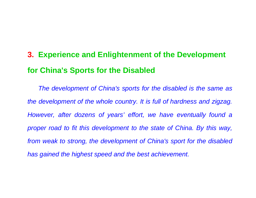# **3. Experience and Enlightenment of the Development for China's Sports for the Disabled**

*The development of China's sports for the disabled is the same as the development of the whole country. It is full of hardness and zigzag. However, after dozens of years' effort, we have eventually found a proper road to fit this development to the state of China. By this way, from weak to strong, the development of China's sport for the disabled has gained the highest speed and the best achievement.*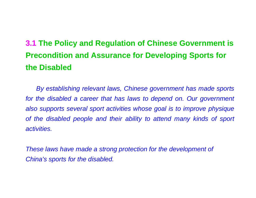# **3.1 The Policy and Regulation of Chinese Government is Precondition and Assurance for Developing Sports for the Disabled**

*By establishing relevant laws, Chinese government has made sports*  for the disabled a career that has laws to depend on. Our government *also supports several sport activities whose goal is to improve physique of the disabled people and their ability to attend many kinds of sport activities.*

*These laws have made a strong protection for the development of China's sports for the disabled.*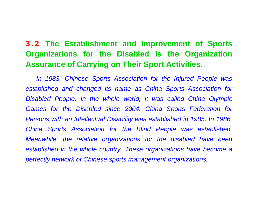### **3.2 The Establishment and Improvement of Sports Organizations for the Disabled is the Organization Assurance of Carrying on Their Sport Activities.**

*In 1983, Chinese Sports Association for the Injured People was established and changed its name as China Sports Association for Disabled People. In the whole world, it was called China Olympic* Games for the Disabled since 2004. China Sports Federation for *Persons with an Intellectual Disability was established in 1985. In 1986, China Sports Association for the Blind People was established. Meanwhile, the relative organizations for the disabled have been established in the whole country. These organizations have become a perfectly network of Chinese sports management organizations.*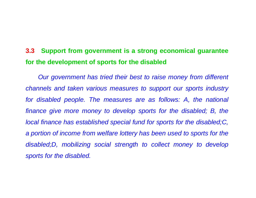#### **3.3 Support from government is a strong economical guarantee for the development of sports for the disabled**

*Our government has tried their best to raise money from different channels and taken various measures to support our sports industry*  for disabled people. The measures are as follows: A, the national *finance give more money to develop sports for the disabled; B, the local finance has established special fund for sports for the disabled;C, a portion of income from welfare lottery has been used to sports for the disabled;D, mobilizing social strength to collect money to develop sports for the disabled.*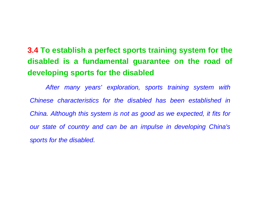## **3.4 To establish a perfect sports training system for the disabled is a fundamental guarantee on the road of developing sports for the disabled**

*After many years' exploration, sports training system with Chinese characteristics for the disabled has been established inChina. Although this system is not as good as we expected, it fits for our state of country and can be an impulse in developing China's sports for the disabled.*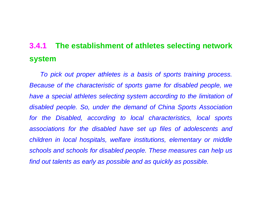## **3.4.1 The establishment of athletes selecting network system**

*To pick out proper athletes is a basis of sports training process. Because of the characteristic of sports game for disabled people, we have a special athletes selecting system according to the limitation of disabled people. So, under the demand of China Sports Association for the Disabled, according to local characteristics, local sports associations for the disabled have set up files of adolescents and children in local hospitals, welfare institutions, elementary or middle schools and schools for disabled people. These measures can help us find out talents as early as possible and as quickly as possible.*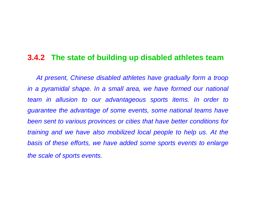### **3.4.2 The state of building up disabled athletes team**

*At present, Chinese disabled athletes have gradually form a troop in a pyramidal shape. In a small area, we have formed our national team in allusion to our advantageous sports items. In order to guarantee the advantage of some events, some national teams have been sent to various provinces or cities that have better conditions for training and we have also mobilized local people to help us. At the basis of these efforts, we have added some sports events to enlarge the scale of sports events.*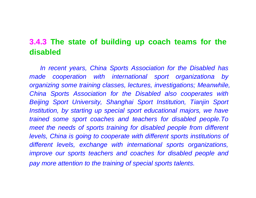### **3.4.3 The state of building up coach teams for the disabled**

*In recent years, China Sports Association for the Disabled has made cooperation with international sport organizationa by organizing some training classes, lectures, investigations; Meanwhile, China Sports Association for the Disabled also cooperates with Beijing Sport University, Shanghai Sport Institution, Tianjin Sport Institution, by starting up special sport educational majors, we have trained some sport coaches and teachers for disabled people.To meet the needs of sports training for disabled people from different levels, China is going to cooperate with different sports institutions of different levels, exchange with international sports organizations, improve our sports teachers and coaches for disabled people and pay more attention to the training of special sports talents.*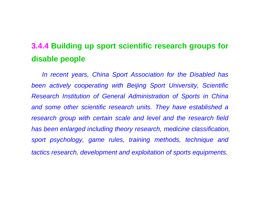## **3.4.4 Building up sport scientific research groups for disable people**

*In recent years, China Sport Association for the Disabled has been actively cooperating with Beijing Sport University, Scientific Research Institution of General Administration of Sports in China and some other scientific research units. They have established a research group with certain scale and level and the research field has been enlarged including theory research, medicine classification, sport psychology, game rules, training methods, technique and tactics research, development and exploitation of sports equipments.*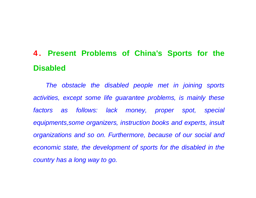# **4 . Present Problems of China's Sports for the Disabled**

*The obstacle the disabled people met in joining sports activities, except some life guarantee problems, is mainly these* factors as follows: lack money, proper spot, special *equipments,some organizers, instruction books and experts, insult organizations and so on. Furthermore, because of our social and economic state, the development of sports for the disabled in the country has a long way to go.*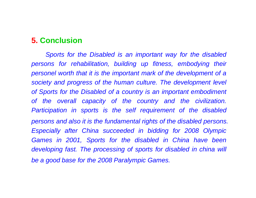### **5. Conclusion**

*Sports for the Disabled is an important way for the disabled persons for rehabilitation, building up fitness, embodying their personel worth that it is the important mark of the development of a society and progress of the human culture. The development level of Sports for the Disabled of a country is an important embodiment of the overall capacity of the country and the civilization. Participation in sports is the self requirement of the disabled persons and also it is the fundamental rights of the disabled persons. Especially after China succeeded in bidding for 2008 Olympic*  Games in 2001, Sports for the disabled in China have been *developing fast. The processing of sports for disabled in china will be a good base for the 2008 Paralympic Games.*